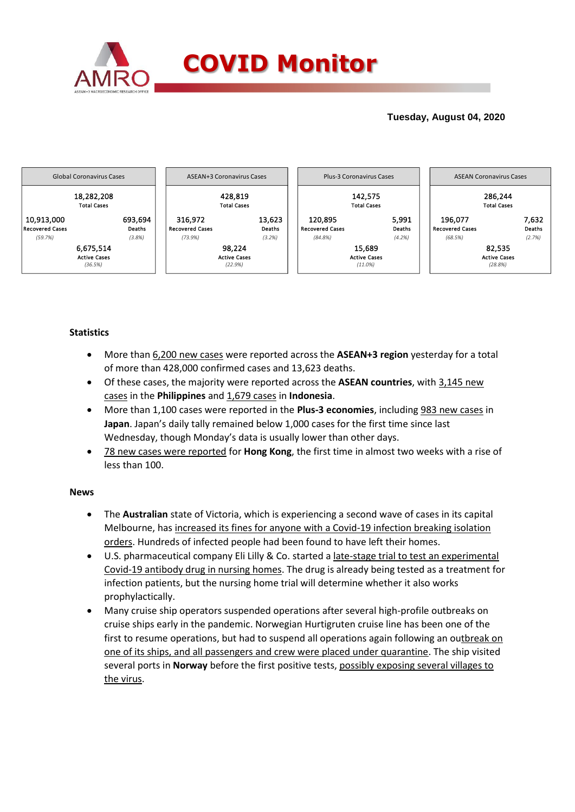

## **Tuesday, August 04, 2020**



### **Statistics**

- More than 6,200 new cases were reported across the **ASEAN+3 region** yesterday for a total of more than 428,000 confirmed cases and 13,623 deaths.
- Of these cases, the majority were reported across the **ASEAN countries**, with 3,145 new cases in the **Philippines** and 1,679 cases in **Indonesia**.
- More than 1,100 cases were reported in the **Plus-3 economies**, including 983 new cases in **Japan**. Japan's daily tally remained below 1,000 cases for the first time since last Wednesday, though Monday's data is usually lower than other days.
- 78 new cases were reported for **Hong Kong**, the first time in almost two weeks with a rise of less than 100.

### **News**

- The **Australian** state of Victoria, which is experiencing a second wave of cases in its capital Melbourne, has increased its fines for anyone with a Covid-19 infection breaking isolation orders. Hundreds of infected people had been found to have left their homes.
- U.S. pharmaceutical company Eli Lilly & Co. started a late-stage trial to test an experimental Covid-19 antibody drug in nursing homes. The drug is already being tested as a treatment for infection patients, but the nursing home trial will determine whether it also works prophylactically.
- Many cruise ship operators suspended operations after several high-profile outbreaks on cruise ships early in the pandemic. Norwegian Hurtigruten cruise line has been one of the first to resume operations, but had to suspend all operations again following an outbreak on one of its ships, and all passengers and crew were placed under quarantine. The ship visited several ports in **Norway** before the first positive tests, possibly exposing several villages to the virus.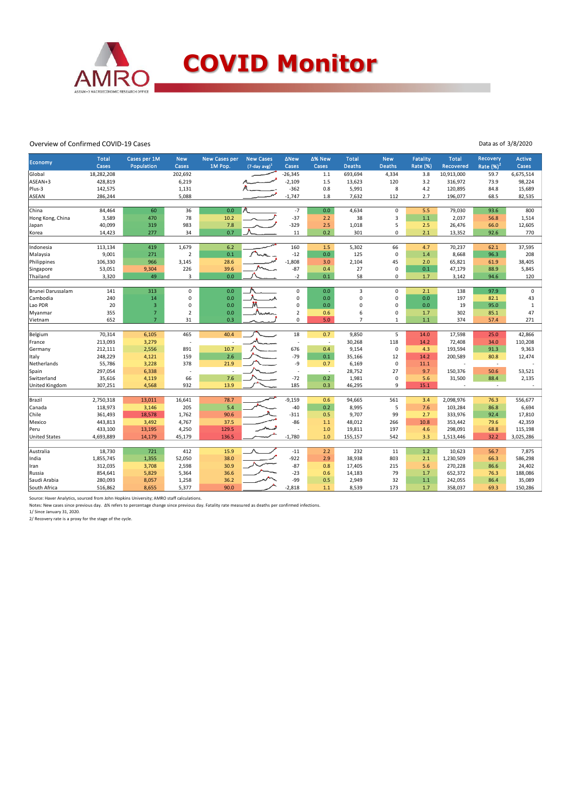

#### Overview of Confirmed COVID-19 Cases

| Data as of 3/8/2020 |  |  |
|---------------------|--|--|
|                     |  |  |

| Economy               | <b>Total</b><br>Cases | Cases per 1M   | <b>New</b><br>Cases | <b>New Cases per</b> | <b>New Cases</b>    | <b>ANew</b>        | ∆% New<br>Cases          | <b>Total</b><br><b>Deaths</b> | <b>New</b>              | <b>Fatality</b> | <b>Total</b>       | Recovery                 | <b>Active</b><br>Cases |
|-----------------------|-----------------------|----------------|---------------------|----------------------|---------------------|--------------------|--------------------------|-------------------------------|-------------------------|-----------------|--------------------|--------------------------|------------------------|
|                       |                       | Population     |                     | 1M Pop.              | $(7$ -day avg $)^1$ | Cases              |                          |                               | <b>Deaths</b>           | <b>Rate (%)</b> | Recovered          | Rate $(%)2$              |                        |
| Global                | 18,282,208            |                | 202,692             |                      |                     | $-26,345$          | 1.1                      | 693,694                       | 4,334                   | 3.8             | 10,913,000         | 59.7                     | 6,675,514              |
| ASEAN+3<br>Plus-3     | 428,819               |                | 6,219               |                      |                     | $-2,109$<br>$-362$ | 1.5<br>0.8               | 13,623                        | 120<br>8                | 3.2<br>4.2      | 316,972<br>120,895 | 73.9<br>84.8             | 98,224                 |
| <b>ASEAN</b>          | 142,575<br>286,244    |                | 1,131<br>5,088      |                      |                     | $-1,747$           | 1.8                      | 5,991<br>7,632                | 112                     | 2.7             | 196,077            | 68.5                     | 15,689<br>82,535       |
|                       |                       |                |                     |                      |                     |                    |                          |                               |                         |                 |                    |                          |                        |
| China                 | 84,464                | 60             | 36                  | 0.0                  |                     | $-7$               | 0.0                      | 4,634                         | $\pmb{0}$               | 5.5             | 79,030             | 93.6                     | 800                    |
| Hong Kong, China      | 3,589                 | 470            | 78                  | 10.2                 |                     | $-37$              | 2.2                      | 38                            | 3                       | 1.1             | 2,037              | 56.8                     | 1,514                  |
| Japan                 | 40,099                | 319            | 983                 | 7.8                  |                     | $-329$             | 2.5                      | 1,018                         | 5                       | 2.5             | 26,476             | 66.0                     | 12,605                 |
| Korea                 | 14,423                | 277            | 34                  | 0.7                  |                     | 11                 | 0.2                      | 301                           | $\Omega$                | 2.1             | 13,352             | 92.6                     | 770                    |
|                       |                       |                |                     |                      |                     |                    |                          |                               |                         |                 |                    |                          |                        |
| Indonesia             | 113,134               | 419            | 1,679               | 6.2                  |                     | 160                | 1.5                      | 5,302                         | 66                      | 4.7             | 70,237             | 62.1                     | 37,595                 |
| Malaysia              | 9,001                 | 271            | $\overline{2}$      | 0.1                  |                     | $-12$              | 0.0                      | 125                           | $\pmb{0}$               | 1.4             | 8,668              | 96.3                     | 208                    |
| Philippines           | 106,330               | 966            | 3,145               | 28.6                 |                     | $-1,808$           | 3.0                      | 2,104                         | 45                      | 2.0             | 65,821             | 61.9                     | 38,405                 |
| Singapore             | 53,051                | 9,304<br>49    | 226                 | 39.6                 |                     | $-87$<br>$-2$      | 0.4                      | 27<br>58                      | $\mathbf 0$<br>$\Omega$ | 0.1             | 47,179             | 88.9                     | 5,845                  |
| Thailand              | 3,320                 |                | 3                   | 0.0                  |                     |                    | 0.1                      |                               |                         | $1.7$           | 3,142              | 94.6                     | 120                    |
| Brunei Darussalam     | 141                   | 313            | $\mathbf 0$         | 0.0                  |                     | 0                  | 0.0                      | $\overline{\mathbf{3}}$       | $\mathbf 0$             | 2.1             | 138                | 97.9                     | $\mathbf 0$            |
| Cambodia              | 240                   | 14             | $\mathbf 0$         | 0.0                  |                     | 0                  | 0.0                      | 0                             | $\mathbf 0$             | 0.0             | 197                | 82.1                     | 43                     |
| Lao PDR               | 20                    | 3              | 0                   | 0.0                  |                     | 0                  | 0.0                      | 0                             | 0                       | 0.0             | 19                 | 95.0                     | $\mathbf{1}$           |
| Myanmar               | 355                   | $\overline{7}$ | $\overline{2}$      | 0.0                  | Nwm                 | $\overline{2}$     | 0.6                      | 6                             | $\mathbf 0$             | 1.7             | 302                | 85.1                     | 47                     |
| Vietnam               | 652                   | $\overline{7}$ | 31                  | 0.3                  |                     | 0                  | 5.0                      | $\overline{7}$                | $\mathbf{1}$            | 1.1             | 374                | 57.4                     | 271                    |
|                       |                       |                |                     |                      |                     |                    |                          |                               |                         |                 |                    |                          |                        |
| Belgium               | 70,314                | 6,105          | 465                 | 40.4                 |                     | 18                 | 0.7                      | 9,850                         | 5                       | 14.0            | 17,598             | 25.0                     | 42,866                 |
| France                | 213,093               | 3,279          | J.                  | ÷.                   |                     | ٠                  | $\overline{\phantom{a}}$ | 30,268                        | 118                     | 14.2            | 72,408             | 34.0                     | 110,208                |
| Germany               | 212,111               | 2,556          | 891                 | 10.7                 |                     | 676                | 0.4                      | 9,154                         | $\pmb{0}$               | 4.3             | 193,594            | 91.3                     | 9,363                  |
| Italy                 | 248,229               | 4,121          | 159                 | 2.6                  |                     | $-79$              | 0.1                      | 35,166                        | 12                      | 14.2            | 200,589            | 80.8                     | 12,474                 |
| Netherlands           | 55,786                | 3,228          | 378                 | 21.9                 |                     | -9                 | 0.7                      | 6,169                         | $\mathbf 0$             | 11.1            |                    | $\overline{\phantom{a}}$ |                        |
| Spain                 | 297,054               | 6,338          | J.                  | ÷.                   |                     | ÷,                 | $\sim$                   | 28,752                        | 27                      | 9.7             | 150,376            | 50.6                     | 53,521                 |
| Switzerland           | 35,616                | 4,119          | 66                  | 7.6                  |                     | $-72$              | 0.2                      | 1,981                         | 0                       | 5.6             | 31,500             | 88.4                     | 2,135                  |
| <b>United Kingdom</b> | 307,251               | 4,568          | 932                 | 13.9                 |                     | 185                | 0.3                      | 46,295                        | 9                       | 15.1            |                    | $\overline{\phantom{a}}$ |                        |
| Brazil                | 2,750,318             | 13,011         | 16,641              | 78.7                 |                     | $-9,159$           | 0.6                      | 94,665                        | 561                     | 3.4             | 2,098,976          | 76.3                     | 556,677                |
| Canada                | 118,973               | 3,146          | 205                 | 5.4                  |                     | $-40$              | 0.2                      | 8,995                         | 5                       | 7.6             | 103,284            | 86.8                     | 6,694                  |
| Chile                 | 361,493               | 18,578         | 1,762               | 90.6                 |                     | $-311$             | 0.5                      | 9,707                         | 99                      | 2.7             | 333,976            | 92.4                     | 17,810                 |
| Mexico                | 443,813               | 3,492          | 4,767               | 37.5                 |                     | $-86$              | 1.1                      | 48,012                        | 266                     | 10.8            | 353,442            | 79.6                     | 42,359                 |
| Peru                  | 433,100               | 13,195         | 4,250               | 129.5                |                     |                    | 1.0                      | 19,811                        | 197                     | 4.6             | 298,091            | 68.8                     | 115,198                |
| <b>United States</b>  | 4,693,889             | 14,179         | 45,179              | 136.5                |                     | $-1,780$           | 1.0                      | 155,157                       | 542                     | 3.3             | 1,513,446          | 32.2                     | 3,025,286              |
|                       |                       |                |                     |                      |                     |                    |                          |                               |                         |                 |                    |                          |                        |
| Australia             | 18,730                | 721            | 412                 | 15.9                 |                     | $-11$              | 2.2                      | 232                           | 11                      | 1.2             | 10,623             | 56.7                     | 7,875                  |
| India                 | 1,855,745             | 1,355          | 52,050              | 38.0                 |                     | $-922$             | 2.9                      | 38,938                        | 803                     | 2.1             | 1,230,509          | 66.3                     | 586,298                |
| Iran                  | 312,035               | 3,708          | 2,598               | 30.9                 |                     | $-87$              | 0.8                      | 17,405                        | 215                     | 5.6             | 270,228            | 86.6                     | 24,402                 |
| Russia                | 854,641               | 5,829          | 5,364               | 36.6                 |                     | $-23$              | 0.6                      | 14,183                        | 79                      | 1.7             | 652,372            | 76.3                     | 188,086                |
| Saudi Arabia          | 280,093               | 8,057          | 1,258               | 36.2                 |                     | -99                | 0.5                      | 2,949                         | 32                      | $1.1$           | 242,055            | 86.4                     | 35,089                 |
| South Africa          | 516,862               | 8,655          | 5,377               | 90.0                 |                     | $-2,818$           | 1.1                      | 8,539                         | 173                     | 1.7             | 358,037            | 69.3                     | 150,286                |

Source: Haver Analytics, sourced from John Hopkins University; AMRO staff calculations.

Notes: New cases since previous day. ∆% refers to percentage change since previous day. Fatality rate measured as deaths per confirmed infections.<br>1/ Since January 31, 2020.<br>2/ Recovery rate is a proxy for the stage of the